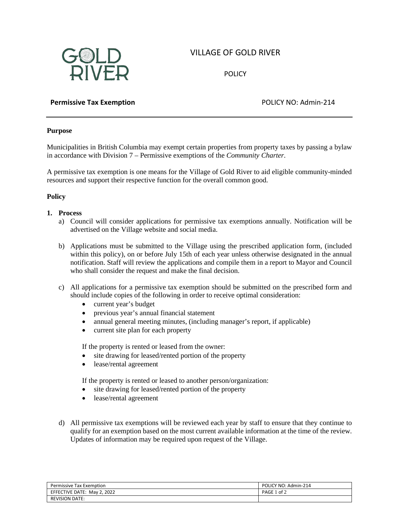# VILLAGE OF GOLD RIVER



**POLICY** 

# **Permissive Tax Exemption POLICY NO: Admin-214**

# **Purpose**

Municipalities in British Columbia may exempt certain properties from property taxes by passing a bylaw in accordance with Division 7 – Permissive exemptions of the *Community Charter*.

A permissive tax exemption is one means for the Village of Gold River to aid eligible community-minded resources and support their respective function for the overall common good.

### **Policy**

- **1. Process**
	- a) Council will consider applications for permissive tax exemptions annually. Notification will be advertised on the Village website and social media.
	- b) Applications must be submitted to the Village using the prescribed application form, (included within this policy), on or before July 15th of each year unless otherwise designated in the annual notification. Staff will review the applications and compile them in a report to Mayor and Council who shall consider the request and make the final decision.
	- c) All applications for a permissive tax exemption should be submitted on the prescribed form and should include copies of the following in order to receive optimal consideration:
		- current year's budget
		- previous year's annual financial statement
		- annual general meeting minutes, (including manager's report, if applicable)
		- current site plan for each property

If the property is rented or leased from the owner:

- site drawing for leased/rented portion of the property
- lease/rental agreement

If the property is rented or leased to another person/organization:

- site drawing for leased/rented portion of the property
- lease/rental agreement
- d) All permissive tax exemptions will be reviewed each year by staff to ensure that they continue to qualify for an exemption based on the most current available information at the time of the review. Updates of information may be required upon request of the Village.

| Permissive Tax Exemption    | POLICY NO: Admin-214 |
|-----------------------------|----------------------|
| EFFECTIVE DATE: May 2, 2022 | of 2<br>PAGE 1       |
| <b>REVISION DATE:</b>       |                      |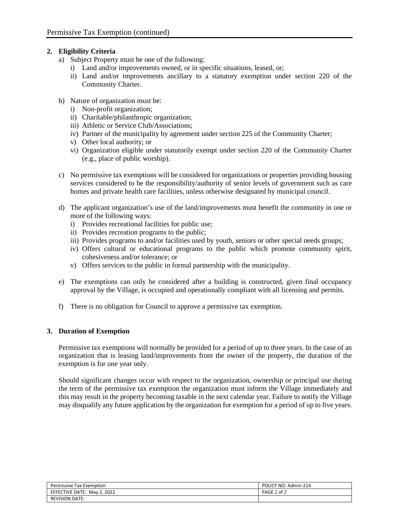# **2. Eligibility Criteria**

- a) Subject Property must be one of the following:
	- i) Land and/or improvements owned, or in specific situations, leased, or;
	- ii) Land and/or improvements ancillary to a statutory exemption under section 220 of the Community Charter.
- b) Nature of organization must be:
	- i) Non-profit organization;
	- ii) Charitable/philanthropic organization;
	- iii) Athletic or Service Club/Associations;
	- iv) Partner of the municipality by agreement under section 225 of the Community Charter;
	- v) Other local authority; or
	- vi) Organization eligible under statutorily exempt under section 220 of the Community Charter (e.g., place of public worship).
- c) No permissive tax exemptions will be considered for organizations or properties providing housing services considered to be the responsibility/authority of senior levels of government such as care homes and private health care facilities, unless otherwise designated by municipal council.
- d) The applicant organization's use of the land/improvements must benefit the community in one or more of the following ways:
	- i) Provides recreational facilities for public use;
	- ii) Provides recreation programs to the public;
	- iii) Provides programs to and/or facilities used by youth, seniors or other special needs groups;
	- iv) Offers cultural or educational programs to the public which promote community spirit, cohesiveness and/or tolerance; or
	- v) Offers services to the public in formal partnership with the municipality.
- e) The exemptions can only be considered after a building is constructed, given final occupancy approval by the Village, is occupied and operationally compliant with all licensing and permits.
- f) There is no obligation for Council to approve a permissive tax exemption.

### **3. Duration of Exemption**

Permissive tax exemptions will normally be provided for a period of up to three years. In the case of an organization that is leasing land/improvements from the owner of the property, the duration of the exemption is for one year only.

Should significant changes occur with respect to the organization, ownership or principal use during the term of the permissive tax exemption the organization must inform the Village immediately and this may result in the property becoming taxable in the next calendar year. Failure to notify the Village may disqualify any future application by the organization for exemption for a period of up to five years.

| <b>Permissive Tax Exemption</b> | POLICY NO: Admin-214 |
|---------------------------------|----------------------|
| EFFECTIVE DATE: May 2, 2022     | PAGE 2 of 2          |
| <b>REVISION DATE:</b>           |                      |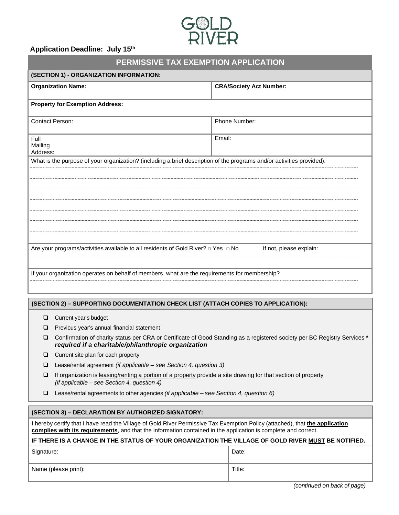

### **Application Deadline: July 15th**

| PERMISSIVE TAX EXEMPTION APPLICATION                                                                                  |                                |  |
|-----------------------------------------------------------------------------------------------------------------------|--------------------------------|--|
| (SECTION 1) - ORGANIZATION INFORMATION:                                                                               |                                |  |
| <b>Organization Name:</b>                                                                                             | <b>CRA/Society Act Number:</b> |  |
| <b>Property for Exemption Address:</b>                                                                                |                                |  |
| <b>Contact Person:</b>                                                                                                | Phone Number:                  |  |
| Full<br>Mailing<br>Address:                                                                                           | Email:                         |  |
| What is the purpose of your organization? (including a brief description of the programs and/or activities provided): |                                |  |
| Are your programs/activities available to all residents of Gold River? $\Box$ Yes $\Box$ No                           | If not, please explain:        |  |
| If your organization operates on behalf of members, what are the requirements for membership?                         |                                |  |

#### **(SECTION 2) – SUPPORTING DOCUMENTATION CHECK LIST (ATTACH COPIES TO APPLICATION):**

- **Q** Current year's budget
- $\Box$  Previous year's annual financial statement
- Confirmation of charity status per CRA or Certificate of Good Standing as a registered society per BC Registry Services *\* required if a charitable/philanthropic organization*
- $\Box$  Current site plan for each property
- Lease/rental agreement *(if applicable see Section 4, question 3)*
- If organization is leasing/renting a portion of a property provide a site drawing for that section of property *(if applicable – see Section 4, question 4)*
- Lease/rental agreements to other agencies *(if applicable see Section 4, question 6)*

#### **(SECTION 3) – DECLARATION BY AUTHORIZED SIGNATORY:**

I hereby certify that I have read the Village of Gold River Permissive Tax Exemption Policy (attached), that **the application complies with its requirements**, and that the information contained in the application is complete and correct.

#### **IF THERE IS A CHANGE IN THE STATUS OF YOUR ORGANIZATION THE VILLAGE OF GOLD RIVER MUST BE NOTIFIED.**

| Signature:           | Date:  |
|----------------------|--------|
| Name (please print): | Title: |